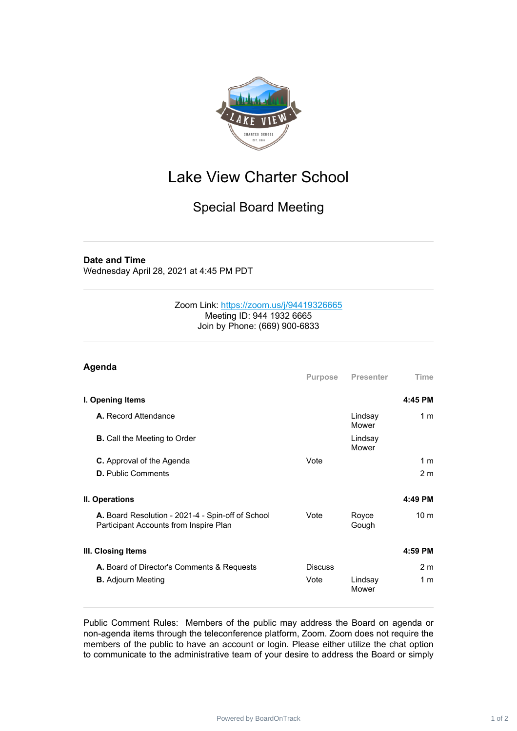

## Lake View Charter School

## Special Board Meeting

## **Date and Time**

Wednesday April 28, 2021 at 4:45 PM PDT

## Zoom Link: <https://zoom.us/j/94419326665> Meeting ID: 944 1932 6665 Join by Phone: (669) 900-6833

| Agenda                                                                                      |                |                  |                 |
|---------------------------------------------------------------------------------------------|----------------|------------------|-----------------|
|                                                                                             | Purpose        | Presenter        | Time            |
| I. Opening Items                                                                            |                |                  | 4:45 PM         |
| <b>A.</b> Record Attendance                                                                 |                | Lindsay<br>Mower | 1 <sub>m</sub>  |
| <b>B.</b> Call the Meeting to Order                                                         |                | Lindsay<br>Mower |                 |
| <b>C.</b> Approval of the Agenda                                                            | Vote           |                  | 1 <sub>m</sub>  |
| <b>D.</b> Public Comments                                                                   |                |                  | 2 <sub>m</sub>  |
| II. Operations                                                                              |                |                  | 4:49 PM         |
| A. Board Resolution - 2021-4 - Spin-off of School<br>Participant Accounts from Inspire Plan | Vote           | Royce<br>Gough   | 10 <sub>m</sub> |
| III. Closing Items                                                                          |                |                  | 4:59 PM         |
| A. Board of Director's Comments & Requests                                                  | <b>Discuss</b> |                  | 2 <sub>m</sub>  |
| <b>B.</b> Adjourn Meeting                                                                   | Vote           | Lindsay<br>Mower | 1 <sub>m</sub>  |

Public Comment Rules: Members of the public may address the Board on agenda or non-agenda items through the teleconference platform, Zoom. Zoom does not require the members of the public to have an account or login. Please either utilize the chat option to communicate to the administrative team of your desire to address the Board or simply